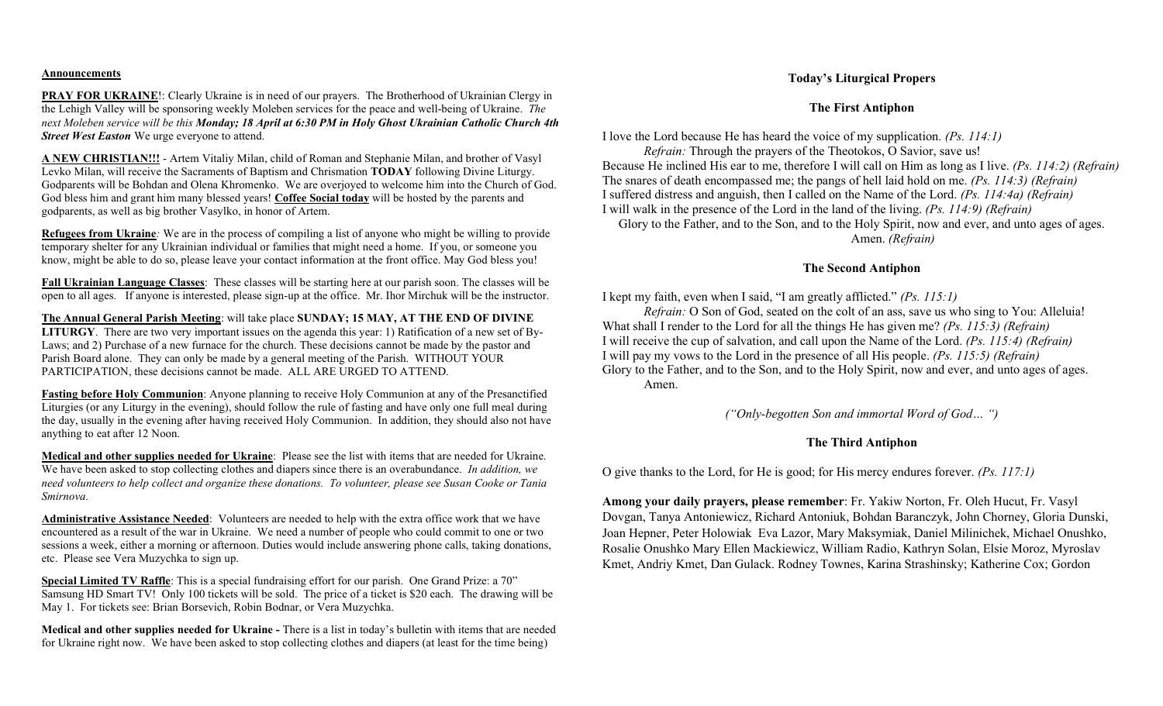#### Announcements

PRAY FOR UKRAINE!: Clearly Ukraine is in need of our prayers. The Brotherhood of Ukrainian Clergy in the Lehigh Valley will be sponsoring weekly Moleben services for the peace and well-being of Ukraine. The next Moleben service will be this Monday; 18 April at 6:30 PM in Holy Ghost Ukrainian Catholic Church 4th **Street West Easton** We urge everyone to attend.

A NEW CHRISTIAN!!! - Artem Vitaliy Milan, child of Roman and Stephanie Milan, and brother of Vasyl Levko Milan, will receive the Sacraments of Baptism and Chrismation TODAY following Divine Liturgy. Godparents will be Bohdan and Olena Khromenko. We are overjoyed to welcome him into the Church of God. God bless him and grant him many blessed years! Coffee Social today will be hosted by the parents and godparents, as well as big brother Vasylko, in honor of Artem.

Refugees from Ukraine: We are in the process of compiling a list of anyone who might be willing to provide temporary shelter for any Ukrainian individual or families that might need a home. If you, or someone you know, might be able to do so, please leave your contact information at the front office. May God bless you!

Fall Ukrainian Language Classes: These classes will be starting here at our parish soon. The classes will be open to all ages. If anyone is interested, please sign-up at the office. Mr. Ihor Mirchuk will be the instructor.

The Annual General Parish Meeting: will take place SUNDAY; 15 MAY, AT THE END OF DIVINE LITURGY. There are two very important issues on the agenda this year: 1) Ratification of a new set of By-Laws; and 2) Purchase of a new furnace for the church. These decisions cannot be made by the pastor and Parish Board alone. They can only be made by a general meeting of the Parish. WITHOUT YOUR PARTICIPATION, these decisions cannot be made. ALL ARE URGED TO ATTEND.

Fasting before Holy Communion: Anyone planning to receive Holy Communion at any of the Presanctified Liturgies (or any Liturgy in the evening), should follow the rule of fasting and have only one full meal during the day, usually in the evening after having received Holy Communion. In addition, they should also not have anything to eat after 12 Noon.

Medical and other supplies needed for Ukraine: Please see the list with items that are needed for Ukraine. We have been asked to stop collecting clothes and diapers since there is an overabundance. In addition, we need volunteers to help collect and organize these donations. To volunteer, please see Susan Cooke or Tania Smirnova.

Administrative Assistance Needed: Volunteers are needed to help with the extra office work that we have encountered as a result of the war in Ukraine. We need a number of people who could commit to one or two sessions a week, either a morning or afternoon. Duties would include answering phone calls, taking donations, etc. Please see Vera Muzychka to sign up.

Special Limited TV Raffle: This is a special fundraising effort for our parish. One Grand Prize: a 70" Samsung HD Smart TV! Only 100 tickets will be sold. The price of a ticket is \$20 each. The drawing will be May 1. For tickets see: Brian Borsevich, Robin Bodnar, or Vera Muzychka.

Medical and other supplies needed for Ukraine - There is a list in today's bulletin with items that are needed for Ukraine right now. We have been asked to stop collecting clothes and diapers (at least for the time being)

### Today's Liturgical Propers

#### The First Antiphon

I love the Lord because He has heard the voice of my supplication. (Ps. 114:1)

Refrain: Through the prayers of the Theotokos, O Savior, save us! Because He inclined His ear to me, therefore I will call on Him as long as I live. (Ps. 114:2) (Refrain) The snares of death encompassed me; the pangs of hell laid hold on me. (Ps. 114:3) (Refrain) I suffered distress and anguish, then I called on the Name of the Lord. (Ps. 114:4a) (Refrain) I will walk in the presence of the Lord in the land of the living. (Ps. 114:9) (Refrain) Glory to the Father, and to the Son, and to the Holy Spirit, now and ever, and unto ages of ages. Amen. (Refrain)

# The Second Antiphon

I kept my faith, even when I said, "I am greatly afflicted." (Ps. 115:1)

Refrain: O Son of God, seated on the colt of an ass, save us who sing to You: Alleluia! What shall I render to the Lord for all the things He has given me? *(Ps. 115:3) (Refrain)* I will receive the cup of salvation, and call upon the Name of the Lord. (Ps. 115:4) (Refrain) I will pay my vows to the Lord in the presence of all His people. (Ps. 115:5) (Refrain) Glory to the Father, and to the Son, and to the Holy Spirit, now and ever, and unto ages of ages. Amen.

("Only-begotten Son and immortal Word of God… ")

## The Third Antiphon

O give thanks to the Lord, for He is good; for His mercy endures forever. (Ps. 117:1)

Among your daily prayers, please remember: Fr. Yakiw Norton, Fr. Oleh Hucut, Fr. Vasyl Dovgan, Tanya Antoniewicz, Richard Antoniuk, Bohdan Baranczyk, John Chorney, Gloria Dunski, Joan Hepner, Peter Holowiak Eva Lazor, Mary Maksymiak, Daniel Milinichek, Michael Onushko, Rosalie Onushko Mary Ellen Mackiewicz, William Radio, Kathryn Solan, Elsie Moroz, Myroslav Kmet, Andriy Kmet, Dan Gulack. Rodney Townes, Karina Strashinsky; Katherine Cox; Gordon